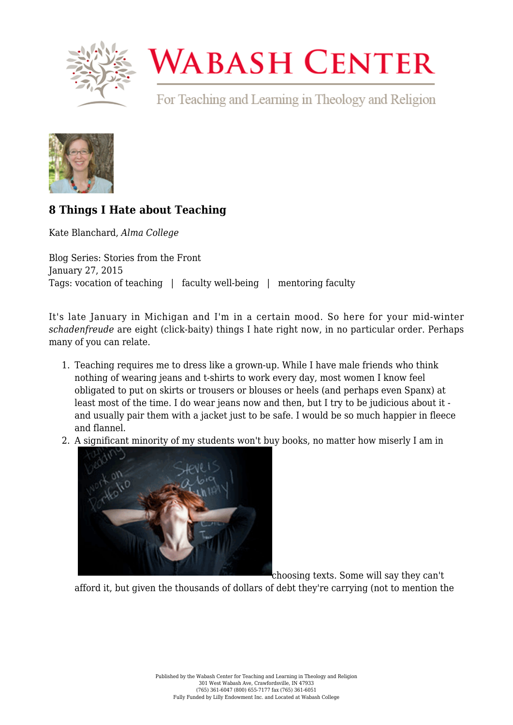

## **WABASH CENTER**

For Teaching and Learning in Theology and Religion



## **[8 Things I Hate about Teaching](https://www.wabashcenter.wabash.edu/2015/01/8-things-i-hate-about-teaching/)**

Kate Blanchard, *Alma College*

Blog Series: Stories from the Front January 27, 2015 Tags: vocation of teaching | faculty well-being | mentoring faculty

It's late January in Michigan and I'm in a certain mood. So here for your mid-winter *schadenfreude* are eight (click-baity) things I hate right now, in no particular order. Perhaps many of you can relate.

- 1. Teaching requires me to dress like a grown-up. While I have male friends who think nothing of wearing jeans and t-shirts to work every day, most women I know feel obligated to put on skirts or trousers or blouses or heels (and perhaps even Spanx) at least most of the time. I do wear jeans now and then, but I try to be judicious about it and usually pair them with a jacket just to be safe. I would be so much happier in fleece and flannel.
- 2. A significant minority of my students won't buy books, no matter how miserly I am in



choosing texts. Some will say they can't

afford it, but given the thousands of dollars of debt they're carrying (not to mention the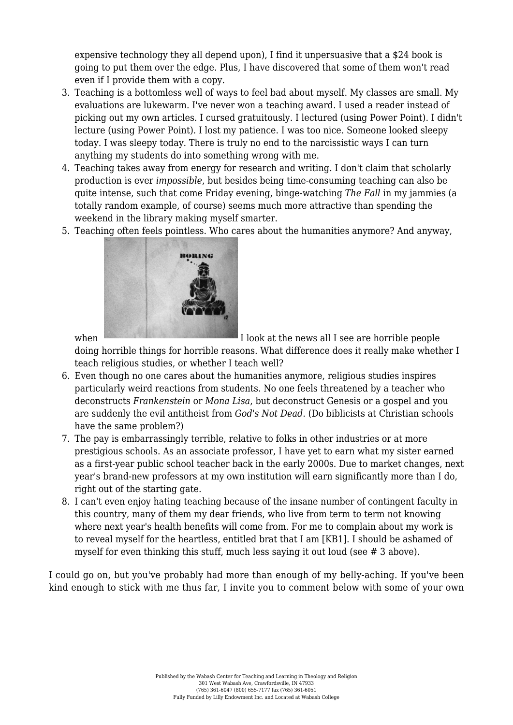expensive technology they all depend upon), I find it unpersuasive that a \$24 book is going to put them over the edge. Plus, I have discovered that some of them won't read even if I provide them with a copy.

- 3. Teaching is a bottomless well of ways to feel bad about myself. My classes are small. My evaluations are lukewarm. I've never won a teaching award. I used a reader instead of picking out my own articles. I cursed gratuitously. I lectured (using Power Point). I didn't lecture (using Power Point). I lost my patience. I was too nice. Someone looked sleepy today. I was sleepy today. There is truly no end to the narcissistic ways I can turn anything my students do into something wrong with me.
- 4. Teaching takes away from energy for research and writing. I don't claim that scholarly production is ever *impossible*, but besides being time-consuming teaching can also be quite intense, such that come Friday evening, binge-watching *The Fall* in my jammies (a totally random example, of course) seems much more attractive than spending the weekend in the library making myself smarter.
- 5. Teaching often feels pointless. Who cares about the humanities anymore? And anyway,



when I look at the news all I see are horrible people

doing horrible things for horrible reasons. What difference does it really make whether I teach religious studies, or whether I teach well?

- 6. Even though no one cares about the humanities anymore, religious studies inspires particularly weird reactions from students. No one feels threatened by a teacher who deconstructs *Frankenstein* or *Mona Lisa*, but deconstruct Genesis or a gospel and you are suddenly the evil antitheist from *God's Not Dead*. (Do biblicists at Christian schools have the same problem?)
- 7. The pay is embarrassingly terrible, relative to folks in other industries or at more prestigious schools. As an associate professor, I have yet to earn what my sister earned as a first-year public school teacher back in the early 2000s. Due to market changes, next year's brand-new professors at my own institution will earn significantly more than I do, right out of the starting gate.
- 8. I can't even enjoy hating teaching because of the insane number of contingent faculty in this country, many of them my dear friends, who live from term to term not knowing where next year's health benefits will come from. For me to complain about my work is to reveal myself for the heartless, entitled brat that I am [\[KB1\]](#page--1-0). I should be ashamed of myself for even thinking this stuff, much less saying it out loud (see # 3 above).

<span id="page-1-0"></span>I could go on, but you've probably had more than enough of my belly-aching. If you've been kind enough to stick with me thus far, I invite you to comment below with some of your own